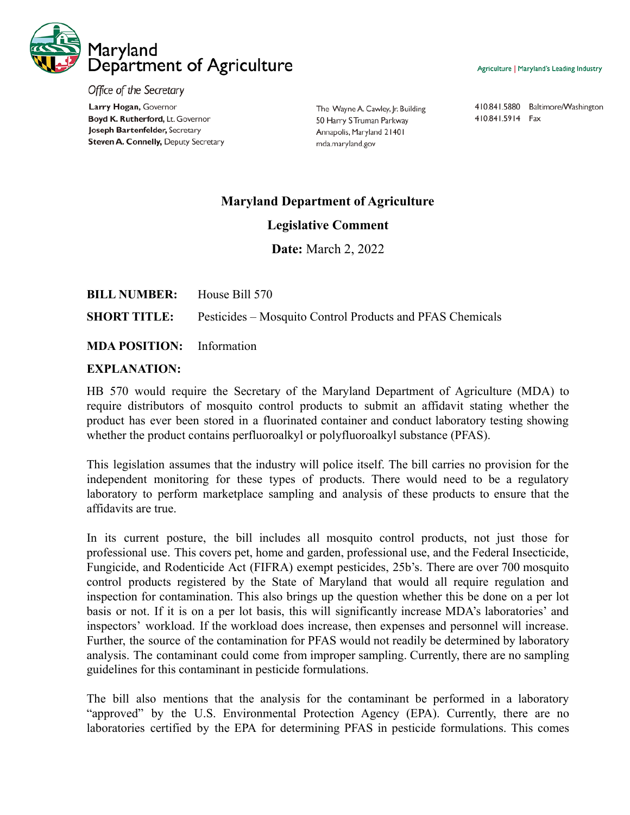

Office of the Secretary Larry Hogan, Governor Boyd K. Rutherford, Lt. Governor Joseph Bartenfelder, Secretary Steven A. Connelly, Deputy Secretary

The Wayne A. Cawley, Jr. Building 50 Harry S Truman Parkway Annapolis, Maryland 21401 mda.maryland.gov

Agriculture | Maryland's Leading Industry

410.841.5880 Baltimore/Washington 410.841.5914 Fax

## **Maryland Department of Agriculture**

## **Legislative Comment**

**Date:** March 2, 2022

| <b>BILL NUMBER:</b> | House Bill 570 |
|---------------------|----------------|
|---------------------|----------------|

**SHORT TITLE:** Pesticides – Mosquito Control Products and PFAS Chemicals

## **MDA POSITION:** Information

## **EXPLANATION:**

HB 570 would require the Secretary of the Maryland Department of Agriculture (MDA) to require distributors of mosquito control products to submit an affidavit stating whether the product has ever been stored in a fluorinated container and conduct laboratory testing showing whether the product contains perfluoroalkyl or polyfluoroalkyl substance (PFAS).

This legislation assumes that the industry will police itself. The bill carries no provision for the independent monitoring for these types of products. There would need to be a regulatory laboratory to perform marketplace sampling and analysis of these products to ensure that the affidavits are true.

In its current posture, the bill includes all mosquito control products, not just those for professional use. This covers pet, home and garden, professional use, and the Federal Insecticide, Fungicide, and Rodenticide Act (FIFRA) exempt pesticides, 25b's. There are over 700 mosquito control products registered by the State of Maryland that would all require regulation and inspection for contamination. This also brings up the question whether this be done on a per lot basis or not. If it is on a per lot basis, this will significantly increase MDA's laboratories' and inspectors' workload. If the workload does increase, then expenses and personnel will increase. Further, the source of the contamination for PFAS would not readily be determined by laboratory analysis. The contaminant could come from improper sampling. Currently, there are no sampling guidelines for this contaminant in pesticide formulations.

The bill also mentions that the analysis for the contaminant be performed in a laboratory "approved" by the U.S. Environmental Protection Agency (EPA). Currently, there are no laboratories certified by the EPA for determining PFAS in pesticide formulations. This comes